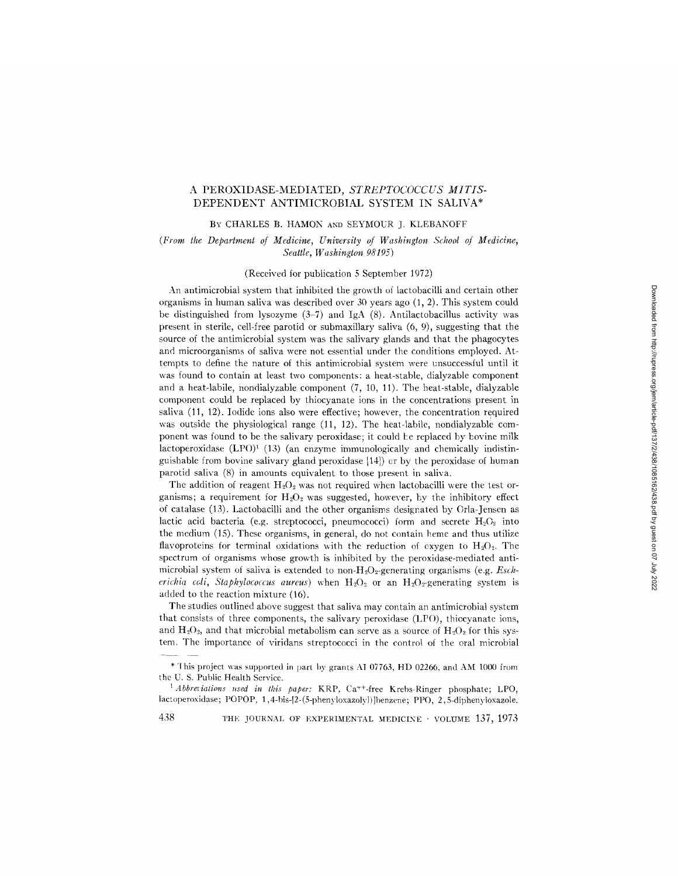# A PEROXIDASE-MEDIATED, *STREPTOCOCCUS MITIS-*DEPENDENT ANTIMICROBIAL SYSTEM IN SALIVA\*

#### BY CHARLES B. HAMON AND SEYMOUR J. KLEBANOFF

# *(Front the Department of Medicine, University of Washington School of Medicine, Seattle, Washington 98195)*

## (Received for publication 5 September 1972)

An antimicrobial system that inhibited the growth of lactobacilli and certain other organisms in human saliva was described over 30 years ago (1, 2). This system could be distinguished from lysozyme  $(3-7)$  and IgA  $(8)$ . Antilactobacillus activity was present in sterile, cell-free parotid or submaxillary saliva (6, 9), suggesting that the source of the antimicrobial system was the salivary glands and that the phagocytes and microorganisms of saliva were not essential under the conditions employed. Attempts to define the nature of this antimicrobial system were unsuccessful until it was found to contain at least two components: a heat-stable, dialyzable component and a heat-labile, nondialyzable component (7, 10, 11). The heat-stable, dialyzable component could be replaced by thiocyanate ions in the concentrations present in saliva (11, 12). Iodide ions also were effective; however, the concentration required was outside the physiological range (11, 12). The heat-labile, nondialyzable component was found to be the salivary peroxidase; it could be replaced by bovine milk lactoperoxidase  $(LPO)^{1}$  (13) (an enzyme immunologically and chemically indistinguishable from bovine salivary gland peroxidase [14]) or by the peroxidase of human parotid saliva (8) in amounts equivalent to those present in saliva.

The addition of reagent  $H_2O_2$  was not required when lactobacilli were the test organisms; a requirement for  $H_2O_2$  was suggested, however, by the inhibitory effect of catalase (13). Lactobacilli and the other organisms designated by Orla-Jensen as lactic acid bacteria (e.g. streptococci, pneumococci) form and secrete  $H_2O_2$  into the medium (15). These organisms, in general, do not contain heme and thus utilize flavoproteins for terminal oxidations with the reduction of oxygen to  $H_2O_2$ . The spectrum of organisms whose growth is inhibited by the peroxidase-mediated antimicrobial system of saliva is extended to non-H<sub>2</sub>O<sub>2</sub>-generating organisms (e.g. *Escherichia coli, Staphylococcus aureus*) when  $H_2O_2$  or an  $H_2O_2$ -generating system is added to the reaction mixture (16).

The studies outlined above suggest that saliva may contain an antimicrobial system that consists of three components, the salivary peroxidase (LPO), thiocyanate ions, and  $H_2O_2$ , and that microbial metabolism can serve as a source of  $H_2O_2$  for this system. The importance of viridans streptococci in the control of the oral microbial

438 THE JOURNAL OF EXPERIMENTAL MEDICINE · VOLUME 137, 1973

<sup>\*</sup> This project was supported in part by grants AI 07763, HD 02266, and AM 1000 from the U. S. Public Health Service.

<sup>&</sup>lt;sup>1</sup> Abbreviations used in this paper: KRP, Ca<sup>++</sup>-free Krebs-Ringer phosphate; LPO, lactoperoxidase; POPOP, 1,4-bis-I2-(5-phenyloxazolyl)]henzene; PPO, 2,5-diphenyloxazole.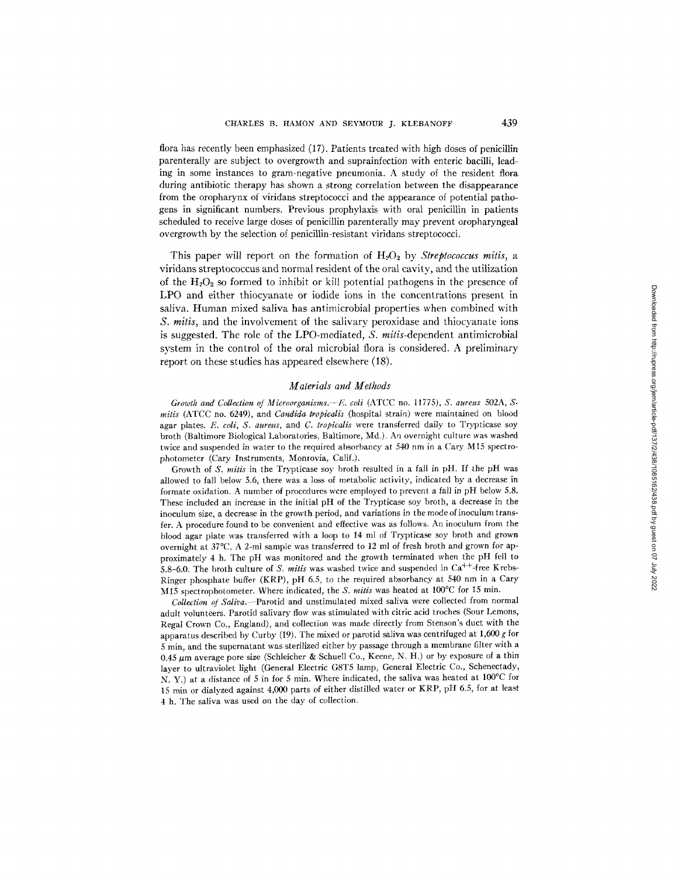flora has recently been emphasized (17). Patients treated with high doses of penicillin parenterally are subject to overgrowth and suprainfection with enteric bacilli, leading in some instances to gram-negative pneumonia. A study of the resident flora during antibiotic therapy has shown a strong correlation between the disappearance from the oropharynx of viridans streptococci and the appearance of potential pathogens in significant numbers. Previous prophylaxis with oral penicillin in patients scheduled to receive large doses of penicillin parenterally may prevent oropharyngeal overgrowth by the selection of penicillin-resistant viridans streptococci.

This paper will report on the formation of  $H_2O_2$  by *Streptococcus mitis*, a viridans streptococcus and normal resident of the oral cavity, and the utilization of the  $H_2O_2$  so formed to inhibit or kill potential pathogens in the presence of LPO and either thiocyanate or iodide ions in the concentrations present in saliva. Human mixed saliva has antimicrobial properties when combined with *S. mitis,* and the involvement of the salivary peroxidase and thiocyanate ions is suggested. The role of the LPO-mediated, *S. mitis-dependent* antimicrobial system in the control of the oral microbial flora is considered. A preliminary report on these studies has appeared elsewhere (18).

## *Materials and Methods*

*Growth and Collection of Microorganisms.--E. coli* (ATCC no. 11775), S. *aureus* 502A, S. *mitis* (ATCC no. 6249), and *Candida tropicalis* (hospital strain) were maintained on blood agar plates. *E. call, S. aureus,* and *C. tropicalis* were transferred daily to Trypticase soy broth (Baltimore Biological Laboratories, Baltimore, Md.). An overnight culture was washed twice and suspended in water to the required absorbancy at 540 nm in a Cary M15 spectrophotometer (Cary Instruments, Monrovia, Calif.).

Growth of *S. mitis* in the Trypticase soy broth resulted in a fall in pH. If the pH was allowed to fall below 5.6, there was a loss of metabolic activity, indicated by a decrease in formate oxidation. A number of procedures were employed to prevent a fall in pH below 5.8. These included an increase in the initial pH of the Trypticase soy broth, a decrease in the inoculum size, a decrease in the growth period, and variations in the mode of inoculum transfer. A procedure found to be convenient and effective was as follows. An inoculum from the blood agar plate was transferred with a loop to 14 ml of Trypticase soy broth and grown overnight at 37°C. A 2~ml sample was transferred to 12 ml of fresh broth and grown for approximately 4 h. The pH was monitored and the growth terminated when the pH fell to 5.8-6.0. The broth culture of *S. mitis* was washed twice and suspended in Ca<sup>++</sup>-free Krebs-Ringer phosphate buffer (KRP), pH 6.5, to the required absorbancy at 540 nm in a Cary M15 spectrophotometer. Where indicated, the *S. mitis* was heated at 100°C for 15 min.

*Collection of Saliva.--Parotid* and unstimulated mixed saliva were collected from normal adult volunteers. Parotid salivary flow was stimulated with citric acid troches (Sour Lemons, Regal Crown Co., England), and collection was made directly from Stenson's duct with the apparatus described by Curby (19). The mixed or parotid saliva was centrifuged at 1,600 g for 5 min, and the supernatant was sterilized either by passage through a membrane filter with a 0.45  $\mu$ m average pore size (Schleicher & Schuell Co., Keene, N. H.) or by exposure of a thin layer to ultraviolet light (General Electric G8T5 lamp, General Electric Co., Schenectady, N. Y.) at a distance of 5 in for 5 min. Where indicated, the saliva was heated at 100°C for 15 min or dialyzed against 4,000 parts of either distilled water or KRP, pH 6.5, for at least 4 h. The saliva was used on the day of collection.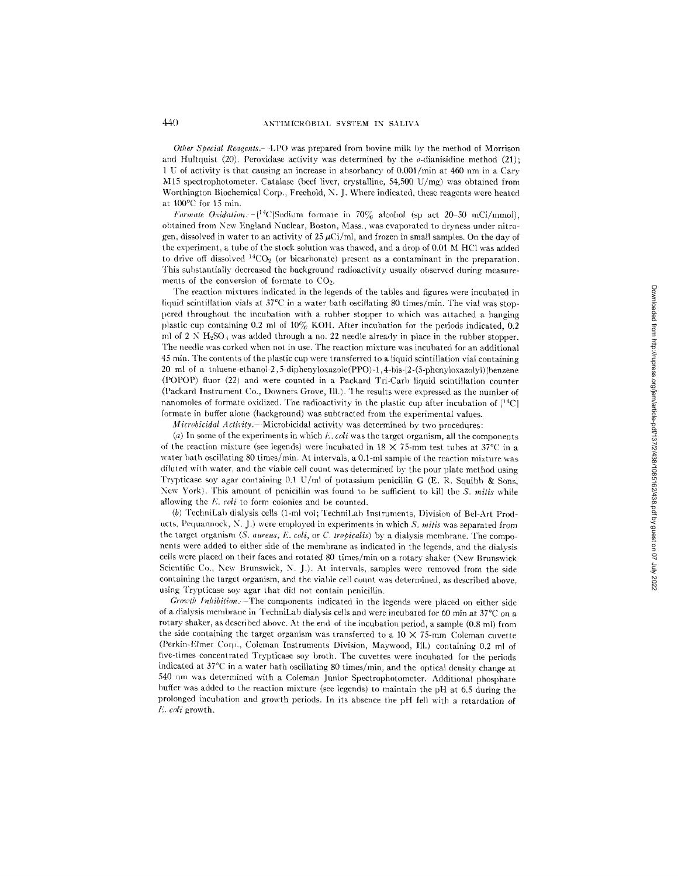*Other Special Reagents.* – -LPO was prepared from bovine milk by the method of Morrison and Hultquist (20). Peroxidase activity was determined by the  $\sigma$ -dianisidine method (21); 1 U of activity is that causing an increase in absorbancy of 0.001/min at 460 nm in a Cary M15 spectrophotometer. Catalase (beef liver, crystalline, 54,500 U/mg) was obtained from Worthington Biochemical Corp., Freehold, N. J. Where indicated, these reagents were heated at  $100^{\circ}$ C for 15 min.

*Formate Oxidation.*  $-[$ <sup>14</sup>C|Sodium formate in 70% alcohol (sp act 20-50 mCi/mmol), obtained from New England Nuclear, Boston, Mass., was evaporated to dryness under nitrogen, dissolved in water to an activity of 25  $\mu$ Ci/ml, and frozen in small samples. On the day of the experiment, a tube of the stock solution was thawed, and a drop of 0.01 M HC1 was added to drive off dissolved  ${}^{14}CO_2$  (or bicarbonate) present as a contaminant in the preparation. This substantially decreased the background radioactivity usually observed during measurements of the conversion of formate to CO<sub>2</sub>.

The reaction mixtures indicated in the legends of the tables and figures were incubated in liquid scintillation vials at 37°C in a water bath oscillating 80 times/rain. The vial was stoppered throughout the incubation with a rubber stopper to which was attached a hanging plastic cup containing 0.2 ml of  $10\%$  KOH. After incubation for the periods indicated, 0.2 ml of 2 N H<sub>2</sub>SO<sub>4</sub> was added through a no. 22 needle already in place in the rubber stopper. The needle was corked when not in use. The reaction mixture was incubated for an additional 45 rain. The contents of the plastic cup were transferred to a liquid scintillation vial containing 20 ml of a toluene-ethanol-2,5-diphenyloxazole(PPO)-l,4-bis-[2-(5-phenyloxazolyl)]benzene (POPOP) fiuor (22) and were counted in a Packard Tri-Carb liquid scintillation counter (Packard Instrument Co., Downers Grove, Ill.). The results were expressed as the number of nanomoles of formate oxidized. The radioactivity in the plastic cup after incubation of  $[^{14}C]$ formate in buffer alone (background) was subtracted from the experimental values.

*Microbicidal Activity.* — Microbicidal activity was determined by two procedures:

(a) In some of the experiments in which  $E$ , *coli* was the target organism, all the components of the reaction mixture (see legends) were incubated in  $18 \times 75$ -mm test tubes at 37°C in a water bath oscillating 80 times/min. At intervals, a 0.1-ml sample of the reaction mixture was diluted with water, and the viable cell count was determined by the pour plate method using Trypticase soy agar containing 0.1 U/ml of potassium penicillin G (E. R. Squibb & Sons, New York). This amount of penicillin was found to be sufficient to kill the *S. mitis* while allowing the *E. coli* to form colonies and be counted.

(b) TechniLab dialysis cells (1-ml vol; TechniLab Instruments, Division of Bel-Art Products, Pequannock, N. J.) were employed in experiments in which *S. mitis* was separated from the target organism *(S. aureus, E. coli, or C. tropicalis)* by a dialysis membrane. The components were added to either side of the membrane as indicated in the legends, and the dialysis cells were placed on their faces and rotated 80 times/rain on a rotary shaker (New Brunswick Scientific Co., New Brunswick, N. J.). At intervals, samples were removed from the side containing the target organism, and the viable cell count was determined, as described above, using Trypticase soy agar that did not contain penicillin.

*Growth Inhibilion.--The* components indicated in the legends were placed on either side of a dialysis membrane in TechniLab dialysis cells and were incubated for 60 min at  $37^{\circ}$ C on a rotary shaker, as described above. At the end of the incubation period, a sample (0.8 ml) from the side containing the target organism was transferred to a  $10 \times 75$ -mm Coleman cuvette (Perkin-Elmer Corp., Coleman Instruments Division, Maywood, Ill.) containing 0.2 ml of five-times concentrated Trypticase soy broth. The cuvettes were incubated for the periods indicated at 37°C in a water bath oscillating 80 times/min, and the optical density change at 540 nm was determined with a Coleman Junior Spectrophotometer. Additional phosphate buffer was added to the reaction mixture (see legends) to maintain the pH at 6.5 during the prolonged incubation and growth periods. In its absence the pH fell with a retardation of *E. coli* growth.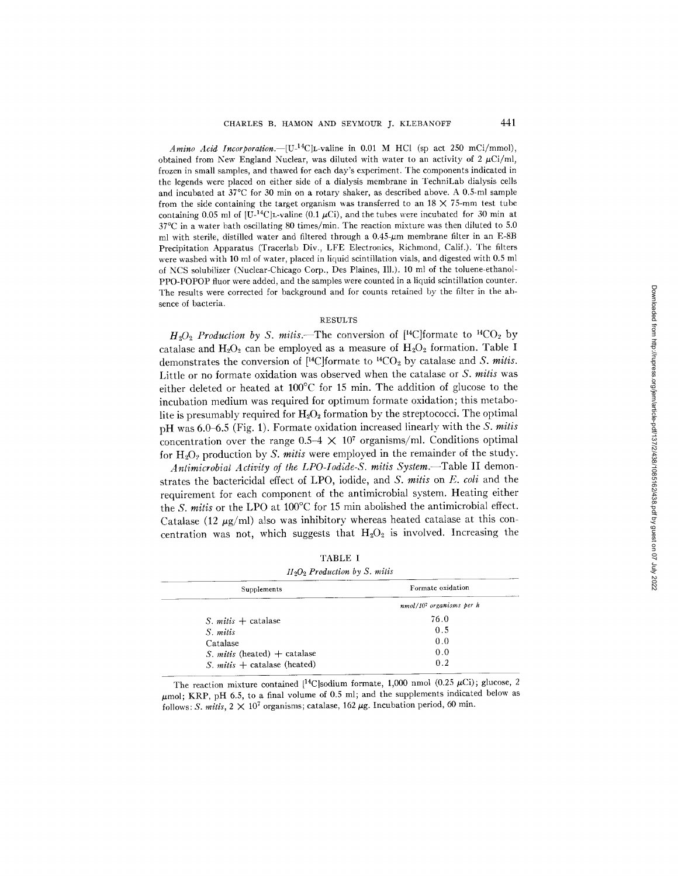*Amino Acid Incorporation.*  $-[U^{-14}C]$ L-valine in 0.01 M HCI (sp act 250 mCi/mmol), obtained from New England Nuclear, was diluted with water to an activity of  $2 \mu C i/m$ , frozen in small samples, and thawed for each day's experiment. The components indicated in the legends were placed on either side of a dialysis membrane in TechniLab dialysis cells and incubated at  $37^{\circ}$ C for 30 min on a rotary shaker, as described above. A 0.5-ml sample from the side containing the target organism was transferred to an  $18 \times 75$ -mm test tube containing 0.05 ml of  $[U^{-14}C]$ L-valine (0.1  $\mu$ Ci), and the tubes were incubated for 30 min at 37°C in a water bath oscillating 80 times/rain. The reaction mixture was then diluted to 5.0 ml with sterile, distilled water and filtered through a  $0.45-\mu m$  membrane filter in an E-8B Precipitation Apparatus (Tracerlab Div., LFE Electronics, Richmond, Calif.). The filters were washed with 10 ml of water, placed in liquid scintillation vials, and digested with 0.5 ml of NCS solubilizer (Nuclear-Chicago Corp., Des Plaines, Ill.). 10 ml of the toluene-ethanol-PPO-POPOP fluor were added, and the samples were counted in a liquid scintillation counter. The results were corrected for background and for counts retained by the filter in the absence of bacteria.

#### RESULTS

 $H_2O_2$  *Production by S. mitis.*—The conversion of [<sup>14</sup>C]formate to <sup>14</sup>CO<sub>2</sub> by catalase and  $H_2O_2$  can be employed as a measure of  $H_2O_2$  formation. Table I demonstrates the conversion of  $[{}^{14}$ C|formate to  ${}^{14}$ CO<sub>2</sub> by catalase and *S. milis.* Little or no formate oxidation was observed when the catalase or *S. mitis* was either deleted or heated at 100°C for 15 min. The addition of glucose to the incubation medium was required for optimum formate oxidation; this metabolite is presumably required for  $H_2O_2$  formation by the streptococci. The optimal pH was 6.0 6.5 (Fig. 1). Formate oxidation increased linearly with the *S. mitis*  concentration over the range  $0.5-4 \times 10^7$  organisms/ml. Conditions optimal for H<sub>2</sub>O<sub>2</sub> production by *S. mitis* were employed in the remainder of the study.

*Antimicrobiat Activity of the LPO-Iodide-S. mitis System.--Table* II demonstrates the bactericidal effect of LPO, iodide, and *S. mitis* on *E. coli* and the requirement for each component of the antimicrobial system. Heating either the *S. mitis* or the LPO at 100°C for 15 min abolished the antimicrobial effect. Catalase (12  $\mu$ g/ml) also was inhibitory whereas heated catalase at this concentration was not, which suggests that  $H_2O_2$  is involved. Increasing the

| TABLE I                         |  |  |
|---------------------------------|--|--|
| $H_2O_2$ Production by S. mitis |  |  |

| Supplements                           | Formate oxidation          |
|---------------------------------------|----------------------------|
|                                       | $nmol/107$ organisms per h |
| <i>S. mitis</i> $+$ catalase          | 76.0                       |
| S. mitis                              | 0.5                        |
| Catalase                              | 0.0                        |
| <i>S. mitis</i> (heated) $+$ catalase | 0.0                        |
| <i>S. mitis</i> $+$ catalase (heated) | 0.2                        |

The reaction mixture contained  $[{}^{14}C]$ sodium formate, 1,000 nmol (0.25  $\mu$ Ci); glucose, 2  $\mu$ mol; KRP, pH 6.5, to a final volume of 0.5 ml; and the supplements indicated below as follows: *S. mitis,*  $2 \times 10^7$  organisms; catalase,  $162~\mu$ g. Incubation period, 60 min.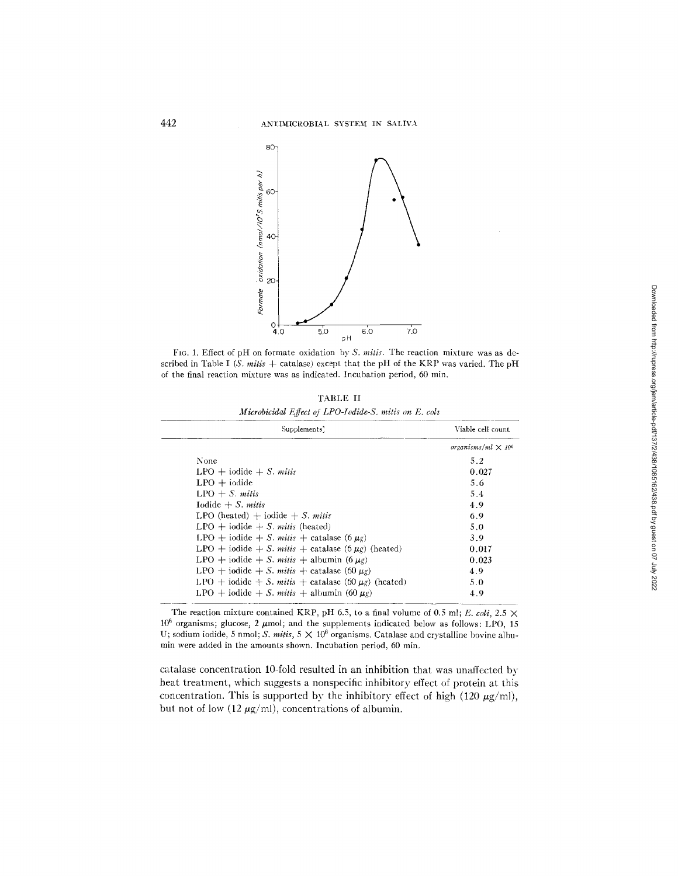

FIG. 1. Effect of pH on formate oxidation *by S. mitis.* The reaction mixture was as described in Table *I (S. mitis +* catalase) except that the pH of the KRP was varied. The pH of the final reaction mixture was as indicated. Incubation period, 60 min.

**'FABLE** II *Microbicidal Effec! of LPO-lodlde-S. mitis on E. coh* 

| Supplements'                                            | Viable cell count.                    |
|---------------------------------------------------------|---------------------------------------|
|                                                         | organisms/ml $\times$ 10 <sup>6</sup> |
| None                                                    | 5.2                                   |
| $LPO + iodide + S. mitis$                               | 0.027                                 |
| $LPO + iodide$                                          | 5.6                                   |
| $LPO + S.$ mitis                                        | 5.4                                   |
| Iodide $+ S.$ mitis                                     | 4.9                                   |
| LPO (heated) $+$ jodide $+$ <i>S. mitis</i>             | 6.9                                   |
| $LPO + iodide + S.$ mit is (heated)                     | 5.0                                   |
| LPO + iodide + S. mitis + catalase $(6 \mu g)$          | 3.9                                   |
| LPO + iodide + S. mitis + catalase (6 $\mu$ g) (heated) | 0.017                                 |
| LPO + iodide + S. mitis + albumin $(6 \mu g)$           | 0.023                                 |
| LPO + iodide + S. mitis + catalase (60 $\mu$ g)         | 4.9                                   |
| LPO + iodide + S. mits + catalase (60 $\mu$ g) (heated) | 5.0                                   |
| LPO + iodide + S. mitis + albumin (60 $\mu$ g)          | 4.9                                   |

The reaction mixture contained KRP, pH 6.5, to a final volume of 0.5 ml; *E. coli*, 2.5  $\times$  $10^6$  organisms; glucose, 2  $\mu$ mol; and the supplements indicated below as follows: LPO, 15 U; sodium iodide, 5 nmol; *S. mitis*,  $5 \times 10^6$  organisms. Catalase and crystalline bovine albumin were added in the amounts shown. Incubation period, 60 min.

catalase concentration 10-fold resulted in an inhibition that was unaffected by heat treatment, which suggests a nonspecific inhibitory effect of protein at this concentration. This is supported by the inhibitory effect of high (120  $\mu$ g/ml), but not of low (12  $\mu$ g/ml), concentrations of albumin.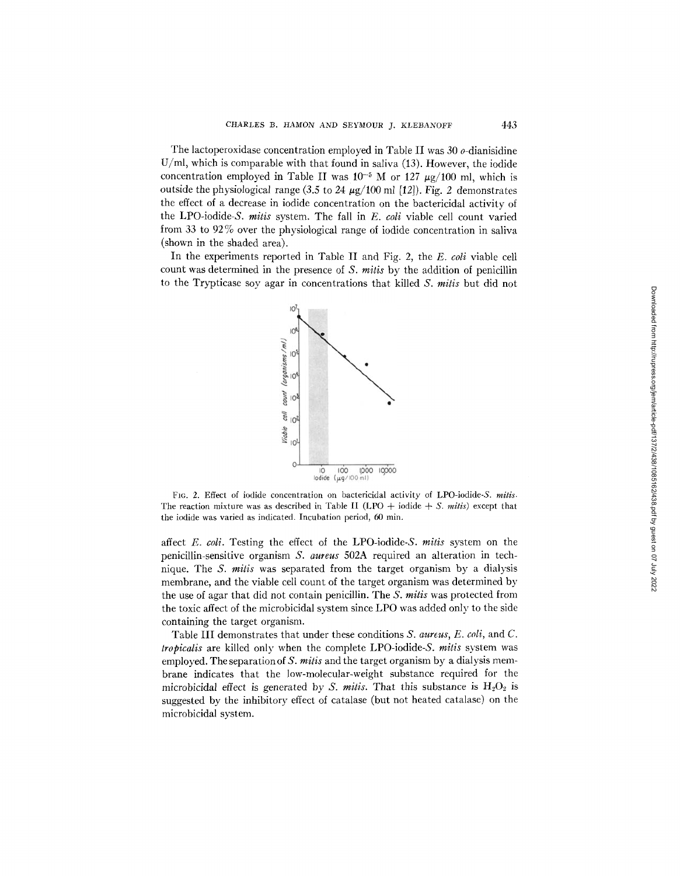The lactoperoxidase concentration employed in Table II was  $30$   $o$ -dianisidine U/ml, which is comparable with that found in saliva (13). However, the iodide concentration employed in Table II was  $10^{-5}$  M or 127  $\mu$ g/100 ml, which is outside the physiological range (3.5 to 24  $\mu$ g/100 ml [12]). Fig. 2 demonstrates the effect of a decrease in iodide concentration on the bactericidal activity of the LPO-iodide-S. mitis system. The fall in E. coli viable cell count varied from 33 to 92% over the physiological range of iodide concentration in saliva (shown in the shaded area).

In the experiments reported in Table II and Fig. 2, the E. coli viable cell count was determined in the presence of S. mitis by the addition of penicillin to the Trypticase soy agar in concentrations that killed  $S$ , milis but did not



FIG. 2. Effect of iodide concentration on bactericidal activity of LPO-iodide-S. **mitis.**  The reaction mixture was as described in Table II (LPO  $+$  iodide  $+$  S. *mitis*) except that the iodide was varied as indicated. Incubation period, 60 min.

affect E. coli. Testing the effect of the LPO-iodide-S. mitis system on the penicillin-sensitive organism S. aureus 502A required an alteration in technique. The S. mitis was separated from the target organism by a dialysis membrane, and the viable cell count of the target organism was determined by the use of agar that did not contain penicillin. The S. mitis was protected from the toxic affect of the microbicidal system since LPO was added only to the side containing the target organism.

Table III demonstrates that under these conditions S. aureus, E. coli, and C. tropicalis are killed only when the complete LPO-iodide-S. mitis system was employed. The separation of *S. milis* and the target organism by a dialysis membrane indicates that the low-molecular-weight substance required for the microbicidal effect is generated by *S. mitis*. That this substance is  $H_2O_2$  is suggested by the inhibitory effect of catalase (but not heated catalase) on the microbicidal system.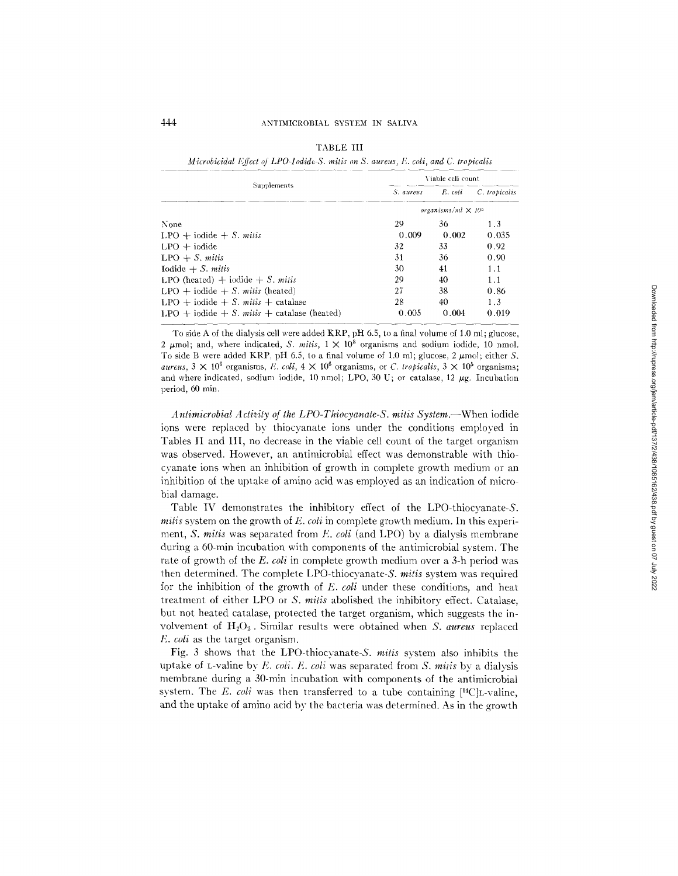*Microbicidal Effect of LPO-Iodide-S. mitis on S. aureus, F. coli, and C. tropicalis* 

|                                            | Viable cell count                     |         |              |  |  |
|--------------------------------------------|---------------------------------------|---------|--------------|--|--|
| Supplements                                | S. aureus                             | E. coli | C tropicalis |  |  |
|                                            | organisms/ml $\times$ 10 <sup>5</sup> |         |              |  |  |
| None                                       | 29                                    | 36      | 1.3          |  |  |
| $LPO + iodide + S. mitis$                  | 0.009                                 | 0.002   | 0.035        |  |  |
| $LPO + iodide$                             | 32                                    | 33      | 0.92         |  |  |
| $LPO + S.$ mitis                           | 31                                    | 36      | 0.90         |  |  |
| Iodide $+ S.$ mitis                        | 30                                    | 41      | 1.1          |  |  |
| LPO (heated) $+$ iodide $+ S$ , mitis      | 29                                    | 40      | 1.1          |  |  |
| $LPO + iodide + S. mitis (heated)$         | 27                                    | 38.     | 0.86         |  |  |
| LPO + iodide + S. mitis + catalase         | 28                                    | 40      | 1.3          |  |  |
| LPO + iodide + S. mits + catalase (heated) | 0.005                                 | 0.004   | 0.019        |  |  |

To side A of the dialysis cell were added KRP, pH 6.5, to a final volume of 1.0 ml; glucose, 2  $\mu$ mol; and, where indicated, *S. mitis*,  $1 \times 10^8$  organisms and sodium iodide, 10 nmol. To side B were added KRP, pH 6.5, to a final volume of 1.0 ml; glucose, 2  $\mu$ mol; either S. *aureus, 3*  $\times$  10<sup>6</sup> organisms, *E. coli,* 4  $\times$  10<sup>6</sup> organisms, or *C. tropicalis, 3*  $\times$  10<sup>5</sup> organisms; and where indicated, sodium iodide, 10 nmol; LPO, 30 U; or catalase, 12  $\mu$ g. Incubation period, 60 min.

*A ntimicrobial Activity of the LPO-Thiocyanale-S. mitis System.--When* iodide ions were replaced by thiocyanate ions under the conditions employed in Tables II and IH, no decrease in the viable cell count of the target organism was observed. However, an antimicrobial effect was demonstrable with thiocyanate ions when an inhibition of growth in complete growth medium or an inhibition of the uptake of amino acid was employed as an indication of microbial damage.

Table IV demonstrates the inhibitory effect of the LPO-thiocyanate-S. *rnitis* system on the growth of *E. cell* in complete growth medium. In this experiment, *S. mitis* was separated from *E. coli* (and LPO) by a dialysis membrane during a 60-min incubation with components of the antimicrobial system. The rate of growth of the *E. coli* in complete growth medium over a 3-h period was then determined. The complete LPO-thiocyanate-S. *mills* system was required for the inhibition of the growth of E. *coli* under these conditions, and heat treatment of either LPO or *S. mills* abolished the inhibitory effect. Catalase, but not heated catalase, protected the target organism, which suggests the involvement of H<sub>2</sub>O<sub>2</sub>. Similar results were obtained when S. *aureus* replaced *E. coli* as the target organism.

Fig. 3 shows that the LPO-thiocyanate-S. *mitis* system also inhibits the uptake of L-valine bv E. *coli. E. coli* was separated from *S. raids* by a dialysis membrane during a 30-min incubation with components of the antimicrobial system. The *E. coli* was then transferred to a tube containing  $[$ <sup>14</sup>C $]$ L-valine, and the uptake of amino acid by the bacteria was determined. As in the growth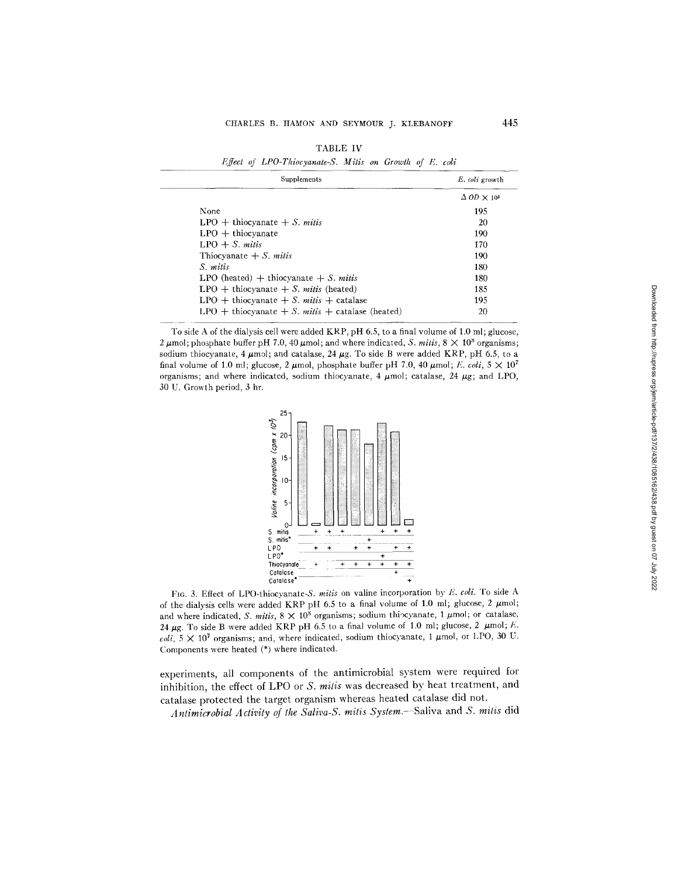| <b>TABLE IV</b> |                                                         |  |  |  |  |  |  |  |
|-----------------|---------------------------------------------------------|--|--|--|--|--|--|--|
|                 | Effect of LPO-Thiocyanate-S. Mitis on Growth of E. coli |  |  |  |  |  |  |  |

| Supplements                                     | E. coli growth                       |
|-------------------------------------------------|--------------------------------------|
|                                                 | $\Delta$ OD $\times$ 10 <sup>3</sup> |
| None                                            | 195                                  |
| $LPO + thiocyanate + S. mitis$                  | 20                                   |
| $LPO +$ thiocyanate                             | 190                                  |
| $LPO + S.$ mitis                                | 170                                  |
| Thiocyanate $+ S$ . <i>mitis</i>                | 190                                  |
| S. mitis                                        | 180                                  |
| LPO (heated) $+$ thiocyanate $+ S$ . mitis      | 180                                  |
| $LPO + thiocyanate + S. mitis (heated)$         | 185                                  |
| LPO + thiocyanate + S. mits + catalase          | 195                                  |
| LPO + thiocyanate + S. mits + catalase (heated) | 20                                   |

To side A of the dialysis cell were added KRP, pH 6.5, to a final volume of 1.0 ml; glucose, 2  $\mu$ mol; phosphate buffer pH 7.0, 40  $\mu$ mol; and where indicated, *S. milis*,  $8 \times 10^8$  organisms; sodium thiocyanate, 4  $\mu$ mol; and catalase, 24  $\mu$ g. To side B were added KRP, pH 6.5, to a final volume of 1.0 ml; glucose, 2  $\mu$ mol, phosphate buffer pH 7.0, 40  $\mu$ mol; *E. coli*,  $5 \times 10^{7}$ organisms; and where indicated, sodium thiocyanate, 4  $\mu$ mol; catalase, 24  $\mu$ g; and LPO, 30 U. Growth period, 3 hr.



FIG. 3. Effect of LPO-thiocyanate-S. *mitis* on valine incorporation by *E. coli.* To side A of the dialysis cells were added KRP pH 6.5 to a final volume of 1.0 ml; glucose, 2  $\mu$ mol; and where indicated, *S. mitis,*  $8 \times 10^8$  organisms; sodium thiocyanate, 1  $\mu$ mol; or catalase, 24  $\mu$ g. To side B were added KRP pH 6.5 to a final volume of 1.0 ml; glucose, 2  $\mu$ mol; E.  $\text{coli, } 5 \times 10^7$  organisms; and, where indicated, sodium thiocyanate, 1  $\mu$ mol, or LPO, 30 U. Components were heated (\*) where indicated.

experiments, all components of the antimicrobial system were required for inhibition, the effect of LPO or *S. mills* was decreased by heat treatment, and catalase protected the target organism whereas heated catalase did not.

*Antimicrobial Activity of lhe Saliva-S. milis System.-* Saliva and *S. mills* did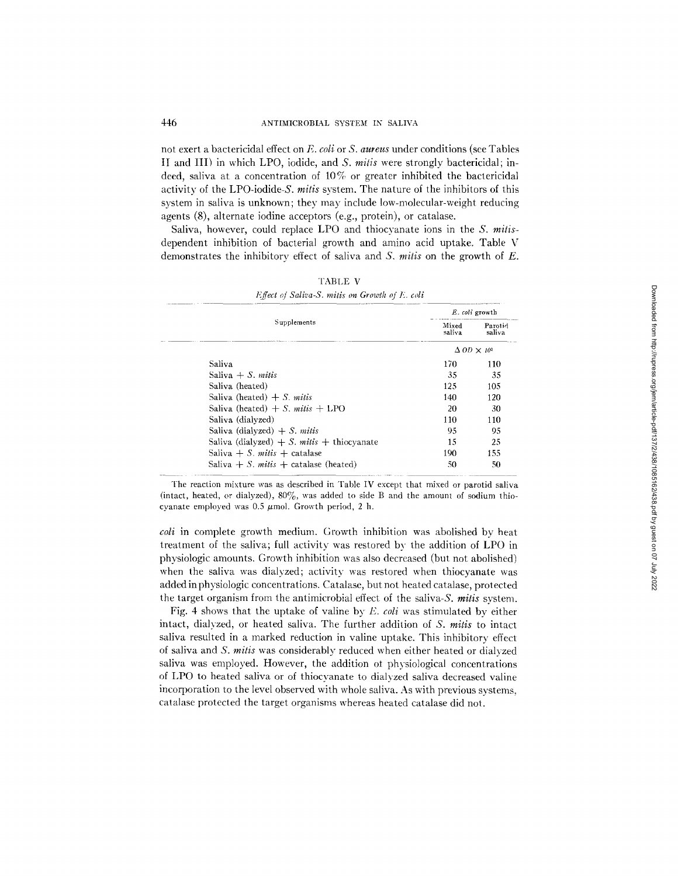not exert a bactericidal effect on *E. coli* or *S. aureus* under conditions (see Tables II and III) in which LPO, iodide, and *S. mitis* were strongly bactericidal; indeed, saliva at a concentration of 10% or greater inhibited the bactericidal activity of the LPO-iodide-S. *mitis* system. The nature of the inhibitors of this system in saliva is unknown; they may include low-molecular-weight reducing agents (8), alternate iodine acceptors (e.g., protein), or catalase.

Saliva, however, could replace LPO and thiocyanate ions in the *S. mitis*dependent inhibition of bacterial growth and amino acid uptake. Table V demonstrates the inhibitory effect of saliva and *S. mitis* on the growth of E.

|                                                        |                                      | E. coli growth    |
|--------------------------------------------------------|--------------------------------------|-------------------|
| Supplements                                            | Mixed<br>saliva                      | Parotid<br>saliva |
|                                                        | $\Delta$ OD $\times$ 10 <sup>3</sup> |                   |
| <b>Saliva</b>                                          | 170                                  | 110               |
| Saliva $+ S$ . <i>mitis</i>                            | 35                                   | 35                |
| Saliva (heated)                                        | 125                                  | 105               |
| Saliva (heated) $+ S$ mitis                            | 140                                  | 120               |
| Saliva (heated) $+ S$ , mitis $+$ LPO                  | 20                                   | 30                |
| Saliva (dialyzed)                                      | 110                                  | 110               |
| Saliva (dialyzed) $+ S$ . mitis                        | 95                                   | 95                |
| Saliva (dialyzed) $+ S$ . <i>mitis</i> $+$ thiocyanate | 15                                   | 25                |
| Saliva + S. mitis + catalase                           | 190                                  | 155               |
| Saliva $+ S$ . <i>mitis</i> $+$ catalase (heated)      | 50                                   | 50                |

| <b>TABLE V</b>                                 |  |  |  |  |  |  |
|------------------------------------------------|--|--|--|--|--|--|
| Effect of Saliva-S. mitis on Growth of E. coli |  |  |  |  |  |  |

The reaction mixture was as described in Table IV except that mixed or parotid saliva (intact, heated, or dialyzed), *80%,* was added to side B and the amount of sodium thiocyanate employed was  $0.5 \mu$ mol. Growth period, 2 h.

*coli* in complete growth medium. Growth inhibition was abolished by heat treatment of the saliva; full activity was restored by the addition of LPO in physiologic amounts. Growth inhibition was also decreased (but not abolished) when the saliva was dialyzed; activity was restored when thiocyanate was added in physiologic concentrations. Catalase, but not heated catalase, protected the target organism from the antimicrobial effect of the saliva-S, *mills* system.

Fig. 4 shows that the uptake of valine by *E. coli* was stimulated by either intact, dialyzed, or heated saliva. The further addition of *S. mitis* to intact saliva resulted in a marked reduction in valine uptake. This inhibitory effect of saliva and *S. mitis* was considerably reduced when either heated or dialyzed saliva was employed. However, the addition of physiological concentrations of LPO to heated saliva or of thiocyanate to dialyzed saliva decreased valine incorporation to the level observed with whole saliva. As with previous systems, catalase protected the target organisms whereas heated catalase did not.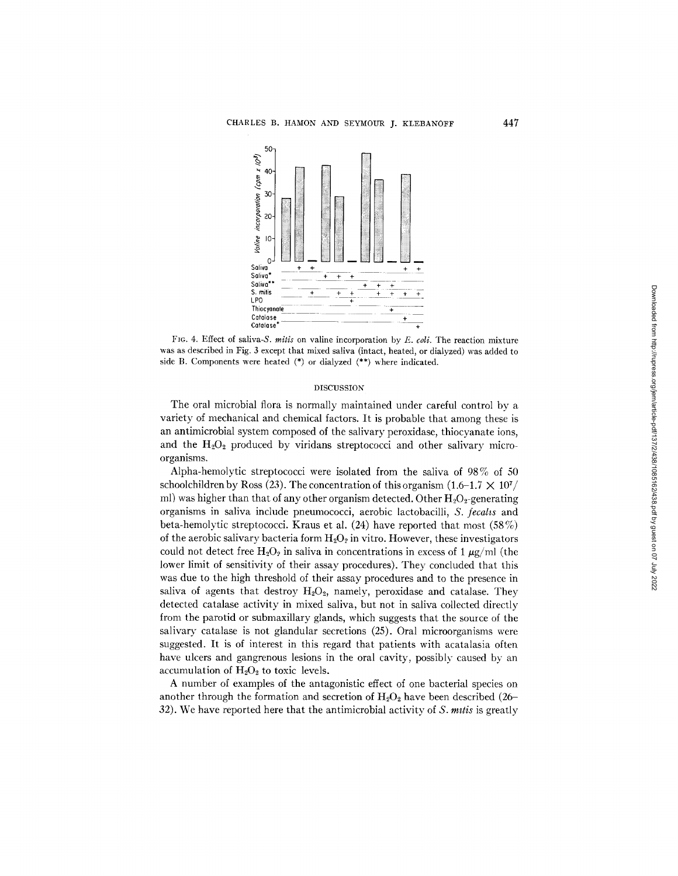

FIG. 4. Effect of saliva-S, *mitis* on valine incorporation by E. *coli.* The reaction mixture was as described in Fig. 3 except that mixed saliva (intact, heated, or dialyzed) was added to side B. Components were heated (\*) or dialyzed (\*\*) where indicated.

#### DISCUSSION

The oral microbial flora is normally maintained under careful control by a variety of mechanical and chemical factors. It is probable that among these is an antimicrobial system composed of the salivary peroxidase, thiocyanate ions, and the  $H_2O_2$  produced by viridans streptococci and other salivary microorganisms.

Alpha-hemolytic streptococci were isolated from the saliva of 98% of 50 schoolchildren by Ross (23). The concentration of this organism  $(1.6-1.7 \times 10^{7}/$ ml) was higher than that of any other organism detected. Other  $H_2O_2$ -generating organisms in saliva include pneumococci, aerobic lactobacilli, *S. fecahs* and beta-hemolytic streptococci. Kraus et al. (24) have reported that most (58%) of the aerobic salivary bacteria form  $H_2O_2$  in vitro. However, these investigators could not detect free  $H_2O_2$  in saliva in concentrations in excess of 1  $\mu$ g/ml (the lower limit of sensitivity of their assay procedures). They concluded that this was due to the high threshold of their assay procedures and to the presence in saliva of agents that destroy  $H_2O_2$ , namely, peroxidase and catalase. They detected catalase activity in mixed saliva, but not in saliva collected directly from the parotid or submaxillary glands, which suggests that the source of the salivary catalase is not glandular secretions (25). Oral microorganisms were suggested. It is of interest in this regard that patients with acatalasia often have ulcers and gangrenous lesions in the oral cavity, possibly caused by an accumulation of  $H_2O_2$  to toxic levels.

A number of examples of the antagonistic effect of one bacterial species on another through the formation and secretion of  $H_2O_2$  have been described (26-32). We have reported here that the antimicrobial activity of *S. milis* is greatly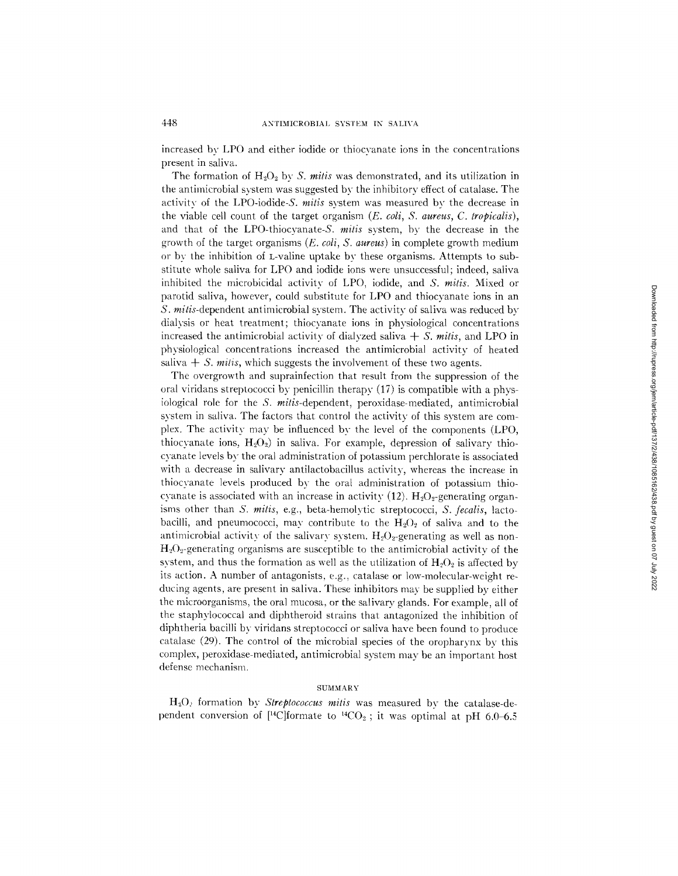increased by LPO and either iodide or thiocvanate ions in the concentrations present in saliva.

The formation of  $H_2O_2$  by S. *mitis* was demonstrated, and its utilization in the antimicrobial system was suggested bv the inhibitory effect of catalase. The activity of the LPO-iodide-S. *mitis* system was measured bv the decrease in the viable cell count of the target organism *(E. coli, S. aureus, C. tropicalis),*  and that of the LPO-thiocyanate-S. *mitis* system, by the decrease in the growth of the target organisms *(E. coli, S. aureus)* in complete growth medium or bv the inhibition of L-valine uptake by these organisms. Attempts to substitute whole saliva for LPO and iodide ions were unsuccessful; indeed, saliva inhibited the microbicidal activity of LPO, iodide, and *S. milis.* Mixed or parotid saliva, however, could substitute for LPO and thiocyanate ions in an *S. mitis-dependent antimicrobial system. The activity of saliva was reduced by* dialysis or heat treatment; thiocyanate ions in physiological concentrations increased the antimicrobial activity of dialyzed saliva *+ S. mitis,* and LPO in physiological concentrations increased the antimicrobial activity of heated saliva  $+ S$ , *mitis*, which suggests the involvement of these two agents.

The overgrowth and suprainfection that result from the suppression of the oral viridans streptococci by penicillin therapy (17) is compatible with a physiological role for the *S. milis-dependent,* peroxidase-mediated, antimicrobial system in saliva. The factors that control the activity of this system are complex. The activity may be influenced by the level of the components (LPO, thiocyanate ions,  $H_2O_2$ ) in saliva. For example, depression of salivary thiocyanate levels by the oral administration of potassium perchlorate is associated with a decrease in salivary antilactobacillus activity, whereas the increase in thiocyanate levels produced by the oral administration of potassium thiocyanate is associated with an increase in activity (12).  $H_2O_2$ -generating organisms other than *S. mills,* e.g., beta-hemolytic streptococci, *S. fecalis,* lactobacilli, and pneumococci, may contribute to the  $H_2O_2$  of saliva and to the antimicrobial activity of the salivary system.  $H_2O_2$ -generating as well as non- $H<sub>2</sub>O<sub>2</sub>$ -generating organisms are susceptible to the antimicrobial activity of the system, and thus the formation as well as the utilization of  $H_2O_2$  is affected by its action. A number of antagonists, e.g., catalase or low-molecular-weight reducing agents, are present in saliva. These inhibitors may be supplied by either the microorganisms, the oral mucosa, or the salivary glands. For example, all of the staphylococcal and diphtheroid strains that antagonized the inhibition of diphtheria bacilli by viridans streptococci or saliva have been found to produce catalase (29). The control of the microbial species of the oropharynx by this complex, peroxidase-mediated, antimicrobial system may be an important host defense mechanism.

# SUMMARY

H20: formation by *Streptococcus mitis* was measured by- the catalase-dependent conversion of [<sup>14</sup>C]formate to <sup>14</sup>CO<sub>2</sub>; it was optimal at pH 6.0-6.5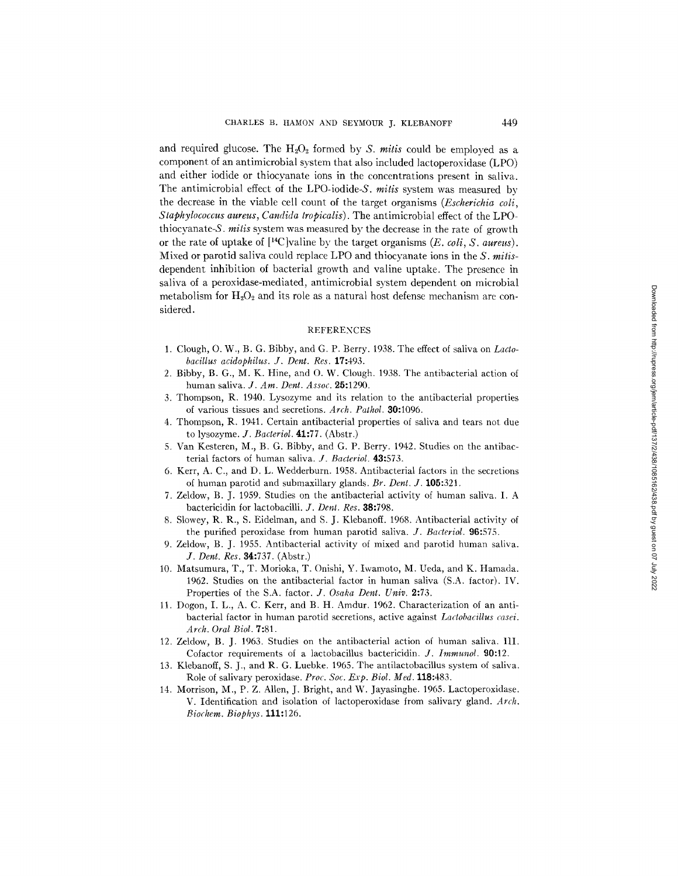and required glucose. The  $H_2O_2$  formed by *S. mitis* could be employed as a component of an antimicrobial system that also included lactoperoxidase (LPO) and either iodide or thiocyanate ions in the concentrations present in saliva. The antimicrobial effect of the LPO-iodide-S. *mitis* system was measured by the decrease in the viable cell count of the target organisms *(Escherichia coli, Staphylococcus aureus, Candida tropicalis).* The antimicrobial effect of the LPOthiocyanate-S, *mitis* svstem was measured by the decrease in the rate of growth or the rate of uptake of [14C]valine bv the target organisms *(E. coli, S. aureus).*  Mixed or parotid saliva could replace LPO and thiocyanate ions in the *S. mitis*dependent inhibition of bacterial growth and valine uptake. The presence in saliva of a peroxidase-mediated, antimicrobial system dependent on microbial metabolism for  $H_2O_2$  and its role as a natural host defense mechanism are considered.

### REFERENCES

- 1. Clough, O. W., B. G. Bibby, and G. P. Berry. 1938. The effect of saliva on *Lactobacillus acidophilus. J. Dent. Res.* 17:493.
- 2. Bibby, B. G., M. K. Hine, and O. W. Clough. 1938. The antibacterial action of human saliva. *J. Am. Dent. Assoc.* 25:1290.
- 3. Thompson, R. 1940. Lysozyme and its relation to the antibacterial properties of various tissues and secretions. *Arch. Pathol.* 30:1096.
- 4. Thompson, R. 1941. Certain antibacterial properties of saliva and tears not due to lysozyme. *J. Bacteriol.* 41:77. (Abstr.)
- 5. Van Kesteren, M., B. G. Bibby, and G. P. Berry. 1942. Studies on the antibacterial factors of human saliva. *J. Bacteriol.* 43:573.
- 6. Kerr, A. C., and D. L. Wedderburn. 1958. Antibacterial factors in the secretions of human parotid and submaxillary glands. *Br. Dent. J.* 105:321.
- 7. Zeldow, B. J. 1959. Studies on the antibacterial activity of human saliva. I. A bactericidin for lactobacilli. *J. Dent. Res.* 38:798.
- 8. Slowey, R. R., S. Eidelman, and S. J. Klebanoff. 1968. Antibacterial activity of the purified peroxidase from human parotid saliva. *J. Bacteriol.* 96:575.
- 9. Zeldow, B. J. 1955. Antibacterial activity of mixed and parotid human saliva. *J. Dent. Res.* 34:737. (Abstr.)
- 10. Matsumura, T., T. Morioka, T. Onishi, Y. Iwamoto, M. Ueda, and K. Hamada. 1962. Studies on the antibacterial factor in human saliva (S.A. factor). IV. Properties of the S.A. factor. *J. Osaka Dent. Univ.* 2:73.
- 11. Dogon, I. L., A. C. Kerr, and B. H. Amdur. 1962. Characterization of an antibacterial factor in human parotid secretions, active against *Lactobacillus casei. Arch. Oral Biol.* 7:81.
- 12. Zeldow, B. J. 1963. Studies on the antibacterial action of hmnan saliva. 111. Cofactor requirements of a lactobacillus bactericidin. *J. Immunol.* 90:12.
- 13. Klebanoff, S. J., and R. G. Luebke. 1965. The antilactobacillus system of saliva. Role of salivary peroxidase. *Proc. Soc. Exp. Biol. Med.* 118:483.
- 14. Morrison, M., P. Z. Allen, J. Bright, and W. Jayasinghe. 1965. Lactoperoxidase. V. Identification and isolation of lactoperoxidase from salivary gland. *Arch. Biochem. Biophys.* 111:126.